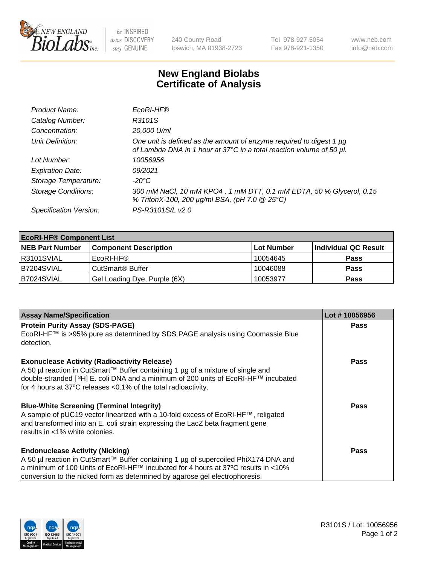

 $be$  INSPIRED drive DISCOVERY stay GENUINE

240 County Road Ipswich, MA 01938-2723 Tel 978-927-5054 Fax 978-921-1350 www.neb.com info@neb.com

## **New England Biolabs Certificate of Analysis**

| Product Name:              | EcoRI-HF®                                                                                                                                   |
|----------------------------|---------------------------------------------------------------------------------------------------------------------------------------------|
| Catalog Number:            | R3101S                                                                                                                                      |
| Concentration:             | 20,000 U/ml                                                                                                                                 |
| Unit Definition:           | One unit is defined as the amount of enzyme required to digest 1 µg<br>of Lambda DNA in 1 hour at 37°C in a total reaction volume of 50 µl. |
| Lot Number:                | 10056956                                                                                                                                    |
| <b>Expiration Date:</b>    | 09/2021                                                                                                                                     |
| Storage Temperature:       | $-20^{\circ}$ C                                                                                                                             |
| <b>Storage Conditions:</b> | 300 mM NaCl, 10 mM KPO4, 1 mM DTT, 0.1 mM EDTA, 50 % Glycerol, 0.15<br>% TritonX-100, 200 µg/ml BSA, (pH 7.0 @ 25°C)                        |
| Specification Version:     | PS-R3101S/L v2.0                                                                                                                            |

| <b>EcoRI-HF® Component List</b> |                              |            |                      |  |  |
|---------------------------------|------------------------------|------------|----------------------|--|--|
| <b>NEB Part Number</b>          | <b>Component Description</b> | Lot Number | Individual QC Result |  |  |
| R3101SVIAL                      | EcoRI-HF®                    | 10054645   | <b>Pass</b>          |  |  |
| B7204SVIAL                      | CutSmart® Buffer             | 10046088   | <b>Pass</b>          |  |  |
| B7024SVIAL                      | Gel Loading Dye, Purple (6X) | 10053977   | <b>Pass</b>          |  |  |

| <b>Assay Name/Specification</b>                                                                                                                                                                                                                                                                   | Lot #10056956 |
|---------------------------------------------------------------------------------------------------------------------------------------------------------------------------------------------------------------------------------------------------------------------------------------------------|---------------|
| <b>Protein Purity Assay (SDS-PAGE)</b>                                                                                                                                                                                                                                                            | <b>Pass</b>   |
| EcoRI-HF™ is >95% pure as determined by SDS PAGE analysis using Coomassie Blue<br>detection.                                                                                                                                                                                                      |               |
| <b>Exonuclease Activity (Radioactivity Release)</b><br>A 50 µl reaction in CutSmart™ Buffer containing 1 µg of a mixture of single and<br>double-stranded [3H] E. coli DNA and a minimum of 200 units of EcoRI-HF™ incubated<br>for 4 hours at 37°C releases <0.1% of the total radioactivity.    | Pass          |
| <b>Blue-White Screening (Terminal Integrity)</b><br>A sample of pUC19 vector linearized with a 10-fold excess of EcoRI-HF™, religated<br>and transformed into an E. coli strain expressing the LacZ beta fragment gene<br>results in <1% white colonies.                                          | Pass          |
| <b>Endonuclease Activity (Nicking)</b><br>A 50 µl reaction in CutSmart™ Buffer containing 1 µg of supercoiled PhiX174 DNA and<br>a minimum of 100 Units of EcoRI-HF™ incubated for 4 hours at 37°C results in <10%<br>conversion to the nicked form as determined by agarose gel electrophoresis. | <b>Pass</b>   |